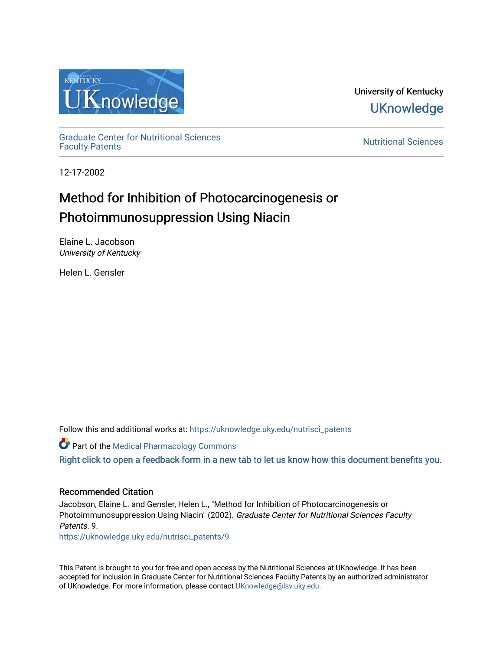

University of Kentucky **UKnowledge** 

[Graduate Center for Nutritional Sciences](https://uknowledge.uky.edu/nutrisci_patents) 

**Nutritional Sciences** 

12-17-2002

# Method for Inhibition of Photocarcinogenesis or Photoimmunosuppression Using Niacin

Elaine L. Jacobson University of Kentucky

Helen L. Gensler

Follow this and additional works at: [https://uknowledge.uky.edu/nutrisci\\_patents](https://uknowledge.uky.edu/nutrisci_patents?utm_source=uknowledge.uky.edu%2Fnutrisci_patents%2F9&utm_medium=PDF&utm_campaign=PDFCoverPages)

Part of the [Medical Pharmacology Commons](http://network.bepress.com/hgg/discipline/960?utm_source=uknowledge.uky.edu%2Fnutrisci_patents%2F9&utm_medium=PDF&utm_campaign=PDFCoverPages)  [Right click to open a feedback form in a new tab to let us know how this document benefits you.](https://uky.az1.qualtrics.com/jfe/form/SV_9mq8fx2GnONRfz7)

## Recommended Citation

Jacobson, Elaine L. and Gensler, Helen L., "Method for Inhibition of Photocarcinogenesis or Photoimmunosuppression Using Niacin" (2002). Graduate Center for Nutritional Sciences Faculty Patents. 9.

[https://uknowledge.uky.edu/nutrisci\\_patents/9](https://uknowledge.uky.edu/nutrisci_patents/9?utm_source=uknowledge.uky.edu%2Fnutrisci_patents%2F9&utm_medium=PDF&utm_campaign=PDFCoverPages)

This Patent is brought to you for free and open access by the Nutritional Sciences at UKnowledge. It has been accepted for inclusion in Graduate Center for Nutritional Sciences Faculty Patents by an authorized administrator of UKnowledge. For more information, please contact [UKnowledge@lsv.uky.edu.](mailto:UKnowledge@lsv.uky.edu)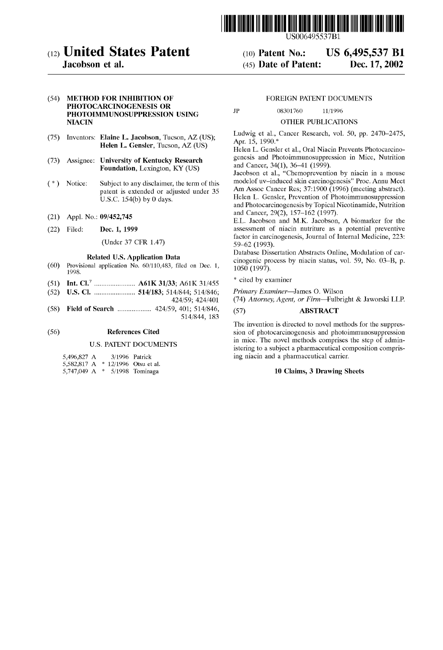

(12) United States Patent (10) Patent No.: US 6,495,537 B1 Jacobson et al. (45) Date of Patent: Dec. 17, 2002

### (54) METHOD FOR INHIBITION OF FOREIGN PATENT DOCUMENTS PHOTOCARCINOGENESIS OR PHOTOIMMUNOSUPPRESSION USING JP 08301760 11/1996 NIACIN OTHER PUBLICATIONS

- 
- 
- 
- 
- 

- (60) Provisional application No.  $60/110,483$ , filed on Dec. 1,  $1050$  (1997).<br>1998. 1998. '
- (51) Int. c1.7 ..................... .. A61K 31/33; A61K 31/455 \* 'med by exammer
- (52) US. Cl. ..................... .. 514/183; 514/844; 514/846; Primary Examiner—larnes O. Wilson
- (58) Field of Search ........................ 424/59, 401; 514/846, (57) ABSTRACT <br>514/844, 183

#### U.S. PATENT DOCUMENTS

| 5,496,827 A |   | 3/1996 Patrick          |
|-------------|---|-------------------------|
| 5,582,817 A |   | $*$ 12/1996 Otsu et al. |
| 5,747,049 A | ÷ | 5/1998 Tominaga         |

(75) Inventors: Elaine L. Jacobson, Tucson, AZ (US); Ludwig et al., Cancer Research, vol. 50, pp. 2470–2475,

Helen L. Gensler, Tucson, AZ (US)<br>Helen L. Gensler et al., Oral Niacin Prevents Photocarcino-(73) Assignee: University of Kentucky Research genesis and Photoimmunosuppression in Mice, Nutrition Equipment Lawington  $VV(TIS)$  and Cancer, 34(1), 36–41 (1999).

Foundation, Lexington, KY (US) and Cancer,  $34(1)$ ,  $30-41$  (1999).<br>Jacobson et al., "Chemoprevention by niacin in a mouse ( 4 ) Notice: Subject to any disclaimer, the term of this modelof uv—induced skin carcinogenesis" Proc. Annu Meet patent is extended or adjusted under 35 Am Assoc Cancer Res; 37:1900 (1996) (meeting abstract). U.S.C. 154(b) by 0 days.<br>Helen L. Gensler, Prevention of Photoimmunosuppression and Photocarcinogenesis by Topical Nicotinamide, Nutrition<br>and Cancer, 29(2), 157–162 (1997).<br>For the cancer, 29(2), 157–162 (1997).

(21) Appl. No.:  $09/452,745$  and Cancel,  $29(2)$ ,  $13/–102$  ( $1997$ ).<br>E.L. Jacobson and M.K. Jacobson, A biomarker for the (22) Filed; Dec, 1, 1999 assessment of niacin nutriture as a potential preventive factor in carcinogenesis, Journal of Internal Medicine, 223: (Under 37 CFR 1.47) 59–62 (1993).

Database Dissertation Abstracts Online, Modulation of car-<br>
Related U.S. Application Data - - - - cinogenic process by niacin status, vol. 59, No. 03–B, p.

(74) Attorney, Agent, or Firm—Fulbright & Jaworski LLP.

The invention is directed to novel methods for the suppres-(56) **References Cited** sion of photocarcinogenesis and photoimmunosuppression in mice. The novel methods comprises the step of admin istering to a subject a pharmaceutical composition compris ing niacin and a pharmaceutical carrier.

#### 10 Claims, 3 Drawing Sheets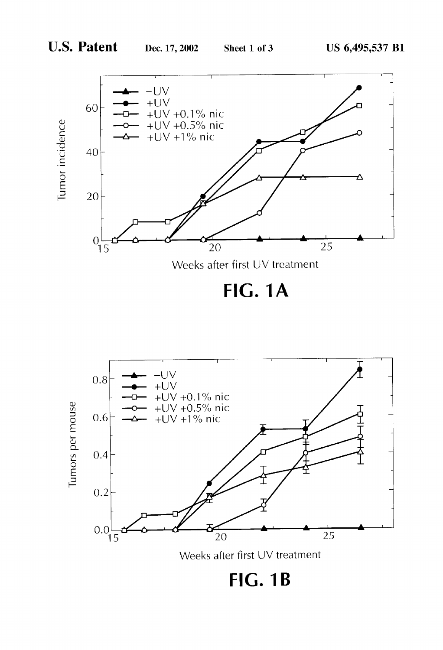

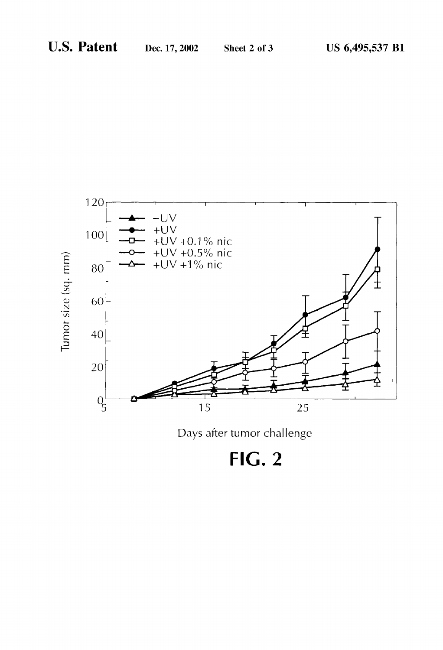

FIG. 2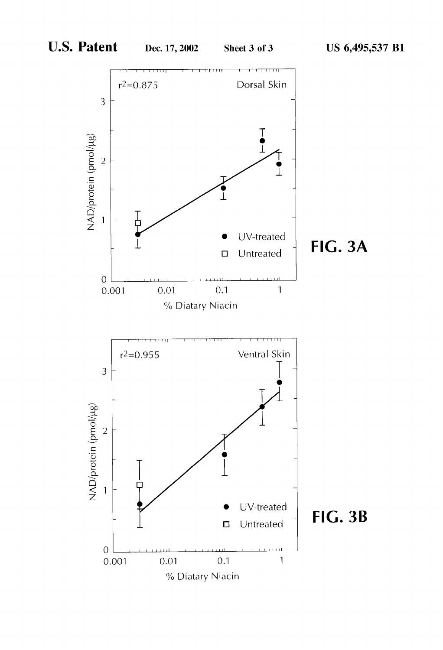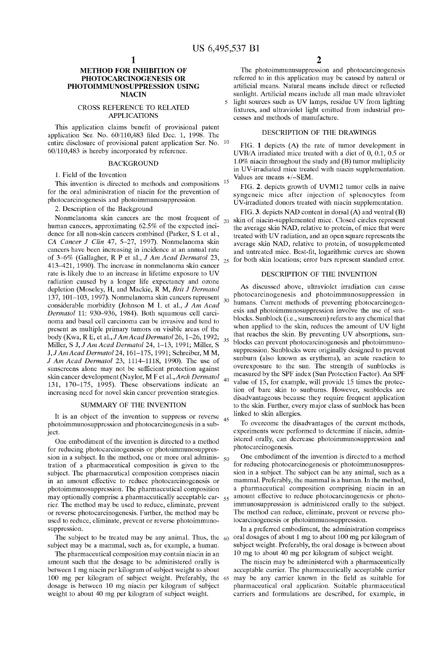### METHOD FOR INHIBITION OF PHOTOCARCINOGENESIS OR PHOTOIMMUNOSUPPRESSION USING NIACIN

#### CROSS REFERENCE TO RELATED APPLICATIONS

This application claims benefit of provisional patent application Ser. No.  $60/110,483$  filed Dec. 1, 1998. The entire disclosure of provisional patent application Ser. No. 10 60/110,483 is hereby incorporated by reference.

#### BACKGROUND

1. Field of the Invention

This invention is directed to methods and compositions <sup>15</sup> for the oral administration of niacin for the prevention of photocarcinogenesis and photoimmunosuppression.

### 2. Description of the Background

Nonmelanoma skin cancers are the most frequent of human cancers, approximating 62.5% of the expected inci dence for all non-skin cancers combined (Parker, S L et al., CA Cancer J Clin 47, 5-27, 1997). Nonmelanoma skin cancers have been increasing in incidence at an annual rate of 3—6% (Gallagher, R P et al., J Am Acad Dermatol 23, 413—421, 1990). The increase in nonmelanoma skin cancer rate is likely due to an increase in lifetime exposure to UV radiation caused by a longer life expectancy and oZone depletion (Moseley, H, and Mackie, R M, Brit J Dermatol 137, 101—103, 1997). Nonmelanoma skin cancers represent considerable morbidity (Johnson M L et al., *J Am Acad Dermatol* 11: 930–936, 1984). Both squamous cell carcinoma and basal cell carcinoma can be invasive and tend to present as multiple primary tumors on visible areas of the body (Kwa, R E, et al., *J Am Acad Dermatol* 26, 1–26, 1992; Miller, S J, JAm Acad Dermatol 24, 1—13, 1991; Miller, S J,JAmAcad Dermatol 24, 161—175, 1991; Schreiber, M M, J Am Acad Dermatol 23, 1114—1118, 1990). The use of sunscreens alone may not be sufficient protection against skin cancer development (Naylor, M F et al.,Arch Dermatol 131, 170—175, 1995). These observations indicate an increasing need for novel skin cancer prevention strategies. 25 30 35

#### SUMMARY OF THE INVENTION

It is an object of the invention to suppress or reverse  $_{45}$ photoimmunosuppression and photocarcinogenesis in a sub ject.

One embodiment of the invention is directed to a method for reducing photocarcinogenesis or photoimmunosuppres sion in a subject. In the method, one or more oral adminis-  $50$ tration of a pharmaceutical composition is given to the subject. The pharmaceutical composition comprises niacin in an amount effective to reduce photocarcinogenesis or photoimmunosuppression. The pharmaceutical composition may optionally comprise a pharmaceutically acceptable car-  $_{55}$ rier. The method may be used to reduce, eliminate, prevent or reverse photocarcinogenesis. Further, the method may be used to reduce, eliminate, prevent or reverse photoimmuno suppression.

The subject to be treated may be any animal. Thus, the subject may be a mammal, such as, for example, a human.

60

The pharmaceutical composition may contain niacin in an amount such that the dosage to be administered orally is between 1 mg niacin per kilogram of subject weight to about 100 mg per kilogram of subject weight. Preferably, the 65 may be any carrier known in the field as suitable for dosage is betWeen 10 mg niacin per kilogram of subject Weight to about 40 mg per kilogram of subject Weight.

The photoimmunusuppression and photocarcinogenesis referred to in this application may be caused by natural or artificial means. Natural means include direct or reflected sunlight. Artificial means include all man made ultraviolet light sources such as UV lamps, residue UV from lighting

fixtures, and ultraviolet light emitted from industrial processes and methods of manufacture.

#### DESCRIPTION OF THE DRAWINGS

FIG. 1 depicts (A) the rate of tumor development in UVB/A irradiated mice treated With a diet of 0, 0.1, 0.5 or 1.0% niacin throughout the study and (B) tumor multiplicity in UV-irradiated mice treated With niacin supplementation. Values are means +/—SEM.

FIG. 2. depicts groWth of UVM12 tumor cells in naive syngeneic mice after injection of splenocytes from UV-irradiated donors treated With niacin supplementation.

20 skin of niacin-supplemented mice. Closed circles represent FIG. 3. depicts NAD content in dorsal (A) and ventral (B) the average skin NAD, relative to protein, of mice that Were treated With UV radiation, and an open square represents the average skin NAD, relative to protein, of unsupplemented and untreated mice. Best-fit, logarithmic curves are shown for both skin locations; error bars represent standard error.

### DESCRIPTION OF THE INVENTION

40 As discussed above, ultraviolet irradiation can cause photocarcinogenesis and photoimmunosuppression in humans. Current methods of preventing photocarcinogen esis and photoimmunosuppression involve the use of sun blocks. Sunblock (i.e., sunscreen) refers to any chemical that when applied to the skin, reduces the amount of UV light that reaches the skin. By preventing UV absorptions, sun blocks can prevent photocarcinogenesis and photoimmuno suppression. Sunblocks Were originally designed to prevent sunburn (also known as erythema), an acute reaction to overexposure to the sun. The strength of sunblocks is measured by the SPF index (Sun Protection Factor). An SPF value of 15, for example, Will provide 15 times the protec tion of bare skin to sunburns. HoWever, sunblocks are disadvantageous because they require frequent application to the skin. Further, every major class of sunblock has been linked to skin allergies.

To overcome the disadvantages of the current methods, experiments Were performed to determine if niacin, admin istered orally, can decrease photoimmunosuppression and photocarcinogenesis.

One embodiment of the invention is directed to a method for reducing photocarcinogenesis or photoimmunosuppres sion in a subject. The subject can be any animal, such as a mammal. Preferably, the mammal is a human. In the method, a pharmaceutical composition comprising niacin in an amount effective to reduce photocarcinogenesis or photo immunosuppression is administered orally to the subject. The method can reduce, eliminate, prevent or reverse pho tocarcinogenesis or photoimmunosuppression.

In a preferred embodiment, the administration comprises oral dosages of about 1 mg to about 100 mg per kilogram of subject weight. Preferably, the oral dosage is between about 10 mg to about 40 mg per kilogram of subject Weight.

The niacin may be administered With a pharmaceutically acceptable carrier. The pharmaceutically acceptable carrier pharmaceutical oral application. Suitable pharmaceutical carriers and formulations are described, for example, in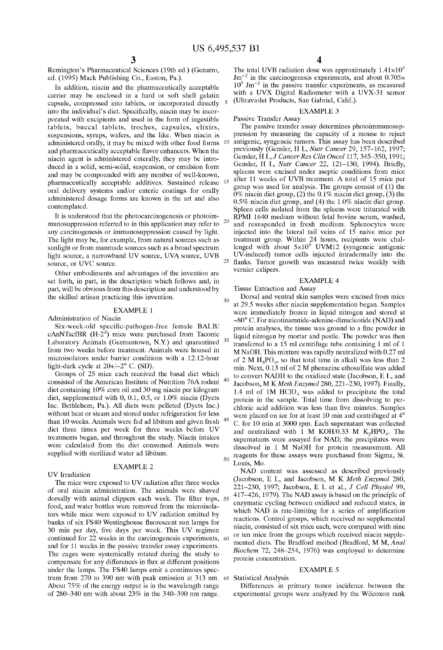$\overline{5}$ 

15

25

Remington's Pharmaceutical Sciences (19th ed.) (Genarro, ed. (1995) Mack Publishing Co., Easton, Pa.).

In addition, niacin and the pharmaceutically acceptable carrier may be enclosed in a hard or soft shell gelatin capsule, compressed into tablets, or incorporated directly into the individual's diet. Specifically, niacin may be incorporated With excipients and used in the form of ingestible tablets, buccal tablets, troches, capsules, elixirs, suspensions, syrups, Wafers, and the like. When niacin is administered orally, it may be mixed with other food forms  $10$ and pharmaceutically acceptable flavor enhancers. When the niacin agent is administered enterally, they may be intro duced in a solid, semi-solid, suspension, or emulsion form and may be compounded with any number of well-known, pharmaceutically acceptable additives. Sustained release oral delivery systems and/or enteric coatings for orally administered dosage forms are known in the art and also contemplated.

It is understood that the photocarcinogenesis or photoim munosuppression referred to in this application may refer to any carcinogenesis or immunosuppression caused by light. The light may be, for example, from natural sources such as sunlight or from manmade sources such as a broad spectrum light source, a narroWband UV source, UVA source, UVB source, or UVC source. 20

Other embodiments and advantages of the invention are set forth, in part, in the description which follows and, in part, Will be obvious from this description and understood by the skilled artisan practicing this invention.

### EXAMPLE 1

Administration of Niacin

Six-week-old specific-pathogen-free female BALB/ cAnNTacfBR  $(H-2<sup>d</sup>)$  mice were purchased from Taconic Laboratory Animals (Germantown, N.Y.) and quarantined  $35$ from two weeks before treatment. Animals were housed in microisolators under barrier conditions With a 12:12-hour light-dark cycle at 20+/—2° C. (SD).

Groups of 25 mice each received the basal diet Which consisted of the American Institute of Nutrition 76A rodent diet containing 10% corn oil and 30 mg niacin per kilogram diet, supplemented With 0, 0.1, 0.5, or 1.0% niacin (Dyets Inc. Bethlehem, Pa.). All diets Were pelleted (Dyets Inc.) without heat or steam and stored under refrigeration for less than 10 Weeks. Animals Were fed ad libitum and given fresh diet three times per Week for three Weeks before UV treatments began, and throughout the study. Niacin intakes Were calculated from the diet consumed. Animals Were supplied with sterilized water ad libitum.

#### EXAMPLE 2

UV Irradiation

The mice were exposed to UV radiation after three weeks of oral niacin administration. The animals Were shaved dorsally with animal clippers each week. The filter tops, 55 food, and Water bottles Were removed from the microisola tors While mice Were exposed to UV radiation emitted by banks of six FS40 Westinghouse fluorescent sun lamps for 30 min per day, five days per week. This UV regimen continued for 22 Weeks in the carcinogenesis experiments, and for 11 Weeks in the passive transfer assay experiments. The cages Were systemically rotated during the study to compensate for any differences in flux at different positions under the lamps. The FS40 lamps emit a continuous spec trum from 270 to 390 nm With peak emission at 313 nm. 65 Statistical Analysis About 75% of the energy output is in the Wavelength range of 280—340 nm With about 23% in the 340—390 nm range.

The total UVB radiation dose was approximately  $1.41\times10^{6}$  $\text{Jm}^{-2}$  in the carcinogenesis experiments, and about 0.705 $\times$  $10^5$  Jm<sup>-2</sup> in the passive transfer experiments, as measured with a UVX Digital Radiometer with a UVX-31 sensor (Ultraviolet Products, San Gabriel, Calif.).

### EXAMPLE 3

Passive Transfer Assay The passive transfer assay determines photoimmunosup pression by measuring the capacity of a mouse to reject antigenic, syngeneic tumors. This assay has been described previously (Gensler, H L, Nutr Cancer 29, 157—162, 1997; Gensler, H L, J Cancer Res Clin Oncol 117, 345-350, 1991; Gensler, H L, Nutr Cancer 22, 121-130, 1994). Briefly, spleens Were excised under aseptic conditions from mice after 11 Weeks of UVB treatment. A total of 15 mice per group Was used for analysis. The groups consist of (1) the 0% niacin diet group,  $(2)$  the 0.1% niacin diet group,  $(3)$  the 0.5% niacin diet group, and (4) the 1.0% niacin diet group. Spleen cells isolated from the spleens Were triturated With RPMI 1640 medium Without fetal bovine serum, Washed, and resuspended in fresh medium. Splenocytes Were injected into the lateral tail veins of  $15$  naive mice per treatment group. Within 24 hours, recipients were challenged with about  $5\times10^5$  UVM12 (syngeneic antigenic UV-induced) tumor cells injected intradermally into the flanks. Tumor growth was measured twice weekly with vernier calipers.

#### EXAMPLE 4

Tissue Extraction and Assay

30 40 45 50 Dorsal and ventral skin samples Were excised from mice at 29.5 Weeks after niacin supplementation began. Samples were immediately frozen in liquid nitrogen and stored at —80° C. For nicotinamnide-adenine-dinucleotide (NAD) and protein analyses, the tissue was ground to a fine powder in liquid nitrogen by mortar and pestle. The powder was then transferred to a 15 ml centrifuge tube containing 1 ml of 1 M NaOH. This mixture was rapidly neutralized with 0.27 ml of 2 M  $H_3PO_4$ , so that total time in alkali was less than 2 min. Next, 0.13 ml of 2 M phenazine ethosulfate was added to convert NADH to the oxidized state (Jacobson, E L, and Jacobson, M K Meth Enzymol 280, 221-230, 1997). Finally, 1.4 ml of  $1M$  HClO<sub>4</sub> was added to precipitate the total protein in the sample. Total time from dissolving to per chloric acid addition was less than five minutes. Samples Were placed on ice for at least 10 min and centrifuged at 4° C. for 10 min at 3000 rpm. Each supernatant Was collected and neutralized with 1 M KOH/0.33 M  $K_2$ HPO<sub>4</sub>. The supernatants were assayed for NAD; the precipitates were dissolved in 1 M NaOH for protein measurement. All reagents for these assays Were purchased from Sigma, St. Louis, Mo.

NAD content Was assessed as described previously (Jacobson, E L, and Jacobson, M K Meth Enzymol 280, 221—230, 1997; Jacobson, E L et al., J Cell Physiol 99, 417—426, 1979). The NAD assay is based on the principle of enzymatic cycling between oxidized and reduced states, in which NAD is rate-limiting for a series of amplification reactions. Control groups, Which received no supplemental niacin, consisted of six mice each, Were compared With nine or ten mice from the groups Which received niacin supple mented diets. The Bradford method (Bradford, M M, Anal Biochem 72, 248—254, 1976) Was employed to determine protein concentration.

### EXAMPLE 5

60

Differences in primary tumor incidence between the experimental groups were analyzed by the Wilcoxon rank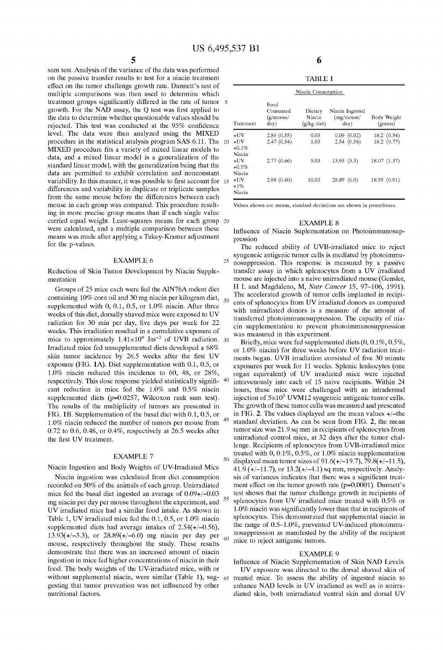25

5 sum test. Analysis of the variance of the data Was performed on the passive transfer results to test for a niacin treatment effect on the tumor challenge growth rate. Dunnett's test of multiple comparisons Was then used to determine Which treatment groups significantly differed in the rate of tumor 5 growth. For the NAD assay, the Q test was first applied to the data to determine Whether questionable values should be rejected. This test was conducted at the 95% confidence level. The data were then analyzed using the MIXED procedure in the statistical analysis program SAS 6.11. The 10 MIXED procedure fits a variety of mixed linear models to data, and a mixed linear model is a generalization of the standard linear model, with the generalization being that the data are permitted to exhibit correlation and nonconstant variability. In this manner, it was possible to first account for 15 differences and variability in duplicate or triplicate samples from the same mouse before the differences between each mouse in each group Was compared. This procedure result ing in more precise group means than if each single value carried equal Weight. Least-squares means for each group 20 were calculated, and a multiple comparison between these means Was made after applying a Tukey-Kramer adjustment for the p-values.

### EXAMPLE 6

Reduction of Skin Tumor Development by Niacin Supple mentation

Groups of 25 mice each Were fed the AIN76A rodent diet containing  $10\%$  corn oil and  $30$  mg niacin per kilogram diet,  $_{30}$ supplemented With 0, 0.1, 0.5, or 1.0% niacin. After three Weeks of this diet, dorsally shaved mice Were exposed to UV radiation for 30 min per day, five days per week for 22 Weeks. This irradiation resulted in a cumulative exposure of mice to approximately  $1.41 \times 10^6$  Jm<sup>-2</sup> of UVB radiation. 35 Irradiated mice fed unsupplemented diets developed a 68% skin tumor incidence by 26.5 weeks after the first UV exposure (FIG. 1A). Diet supplementation With 0.1, 0.5, or 1.0% niacin reduced this incidence to 60, 48, or 28%, respectively. This dose response yielded statistically signi? cant reduction in mice fed the 1.0% and 0.5% niacin supplemented diets (p=0.0257, Wilcoxon rank sum test). The results of the multiplicity of tumors are presented in FIG. 1B. Supplementation of the basal diet With 0.1, 0.5, or 1.0% niacin reduced the number of tumors per mouse from 0.72 to 0.6, 0.48, or 0.4%, respectively at 26.5 Weeks after the first UV treatment. 45

#### EXAMPLE 7

#### Niacin Ingestion and Body Weights of UV-Irradiated Mice

Niacin ingestion Was calculated from diet consumption recorded on 50% of the animals of each group. Unirradiated mice fed the basal diet ingested an average of 0.09+/—0.03 mg niacin per day per mouse throughout the experiment, and UV irradiated mice had a similar food intake. As shoWn in Table 1, UV irradiated mice fed the 0.1, 0.5, or 1.0% niacin supplemented diets had average intakes of  $2.54(+/-0.56)$ , 13.93(+/—3.3), or 28.89(+/—6.0) mg niacin per day per mouse, respectively throughout the study. These results demonstrate that there Was an increased amount of niacin ingestion in mice fed higher concentrations of niacin in their food. The body Weights of the UV-irradiated mice, With or without supplemental macin, were similar (Table 1), sug- 65 treated mice. To assess the ability of ingested niacin to gesting that tumor prevention was not influenced by other nutritional factors.

| Niacin Consumption               |                                       |                                    |                                       |                          |  |  |  |
|----------------------------------|---------------------------------------|------------------------------------|---------------------------------------|--------------------------|--|--|--|
| Treatment                        | Food<br>Consumed<br>(g/mouse/<br>day) | Dietary<br>Niacin<br>$(g/kg$ diet) | Niacin Ingested<br>(mg/mouse/<br>day) | Body Weight<br>(grams)   |  |  |  |
| +UV<br>+UV<br>$+0.1\%$<br>Niacin | 2.86(0.55)<br>2.47(0.54)              | 0.03<br>103                        | 0.09(0.02)<br>2.54(0.56)              | 18.2(0.54)<br>18.2(0.77) |  |  |  |
| +UV<br>+0.5%<br>Niacin           | 2.77(0.66)                            | 5.03                               | 13.93(3.3)                            | 18.07 (1.37)             |  |  |  |
| +UV<br>+1%<br>Niacin             | 2.88(0.60)                            | 10.03                              | 28.89 (6.0)                           | 18.55 (0.91)             |  |  |  |

Values shoWn are means, standard deviations are shoWn in parentheses.

#### EXAMPLE 8

Influence of Niacin Suplementation on Photoimmunosuppression

The reduced ability of UVB-irradiated mice to reject syngeneic antigenic tumor cells is mediated by photoimmu nosuppression. This response is measured by a passive transfer assay in Which splenocytes from a UV irradiated mouse are injected into a naive unirradiated mouse (Gensler, H L and Magdaleno, M, Nutr Cancer 15, 97—106, 1991). The accelerated growth of tumor cells implanted in recipients of splenocytes from UV irradiated donors as compared with unirradiated donors is a measure of the amount of transferred photoimmunosuppression. The capacity of nia cin supplementation to prevent photoimmunosuppression Was measured in this experiment.

40 50 55 60 Briefly, mice were fed supplemented diets  $(0, 0.1\%, 0.5\%$ , or 1.0% niacin) for three weeks before UV radiation treatments began. UVB irradiation consisted of five 30 minute exposures per Week for 11 Weeks. Splenic leukocytes (one organ equivalent) of UV irradiated mice Were injected intravenously into each of 15 naive recipients. Within 24 hours, these mice Were challenged With an intradermal injection of  $5\times10^5$  UVM12 syngeneic antigenic tumor cells. The growth of these tumor cells was measured and presented in FIG. 2. The values displayed are the mean values +/—the standard deviation. As can be seen from FIG. 2, the mean tumor size was 21.9 sq mm in recipients of splenocytes from unirradiated control mice, at 32 days after the tumor chal lenge. Recipients of splenocytes from UVB-irradiated mice treated With 0, 0.1%, 0.5%, or 1.0% niacin supplementation displayed mean tumor sizes of  $91.6(+/-19.7)$ ,  $79.8(+/-11.5)$ , 41.9 ( $+/-11.7$ ), or  $13.2(+/-4.1)$  sq mm, respectively. Analysis of variances indicates that there was a significant treatment effect on the tumor growth rate  $(p=0.0001)$ . Dunnett's test shows that the tumor challenge growth in recipients of splenocytes from UV irradiated mice treated With 0.5% or  $1.0\%$  niacin was significantly lower than that in recipients of splenocytes. This demonstrated that supplemental niacin in the range of 0.5—1.0%, prevented UV-induced photoimmu nosuppression as manifested by the ability of the recipient mice to reject antigenic tumors.

#### EXAMPLE 9

Influence of Niacin Supplementation of Skin NAD Levels

UV exposure Was directed to the dorsal shaved skin of enhance NAD levels in UV irradiated as well as in unirradiated skin, both unirradiated ventral skin and dorsal UV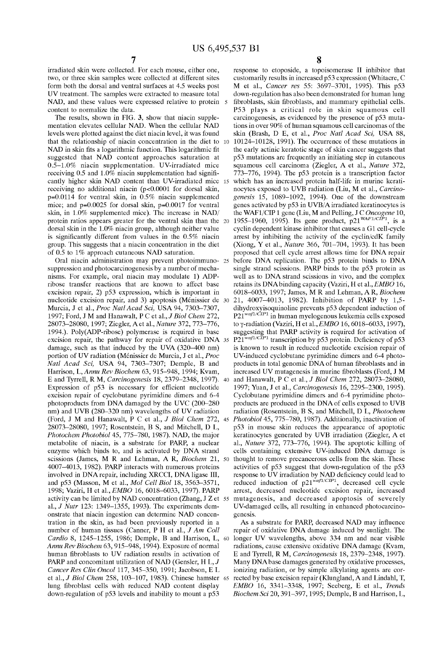$\overline{5}$ 

irradiated skin Were collected. For each mouse, either one, two, or three skin samples were collected at different sites form both the dorsal and ventral surfaces at 4.5 Weeks post UV treatment. The samples Were extracted to measure total NAD, and these values Were expressed relative to protein content to normalize the data.

The results, shown in FIG. 3, show that niacin supplementation elevates cellular NAD. When the cellular NAD levels Were plotted against the diet niacin level, it Was found NAD in skin fits a logarithmic function. This logarithmic fit suggested that NAD content approaches saturation at 0.5—1.0% niacin supplementation. UV-irradiated mice receiving 0.5 and 1.0% niacin supplementation had significantly higher skin NAD content than UV-irradiated mice receiving no additional niacin (p<0.0001 for dorsal skin, p=0.0114 for ventral skin, in 0.5% niacin supplemented mice; and p=0.0025 for dorsal skin, p=0.0017 for ventral skin, in 1.0% supplemented mice). The increase in NAD/ protein ratios appears greater for the ventral skin than the 20 dorsal skin in the 1.0% niacin group, although neither value is significantly different from values in the  $0.5\%$  niacin group. This suggests that a niacin concentration in the diet of 0.5 to 1% approach cutaneous NAD saturation. 15

Oral niacin administration may prevent photoimmuno- 25 suppression and photocarcinogenesis by a number of mecha nisms. For example, oral niacin may modulate 1) ADP ribose transfer reactions that are known to affect base excision repair, 2) p53 expression, Which is important in nucleotide excision repair, and 3) apoptosis (Ménissier de 30 Murcia, J et al., *Proc Natl Acad Sci*, USA 94, 7303-7307, 1997; Ford, J M and Hanawalt, P C et al., *J Biol Chem 272*, 28073—28080, 1997; Ziegler, Aet al., Nature 372, 773—776, 1994.). Poly(ADP-ribose) polymerase is required in base damage, such as that induced by the UVA (320—400 nm) portion of UV radiation (Ménissier de Murcia, J et al., Proc Natl Acad Sci, USA 94, 7303-7307; Demple, B and Harrison, L, Annu Rev Biochem 63, 915—948, 1994; Kvam, E and Tyrrell, R M, Carcinogenesis 18, 2379—2348, 1997). Expression of p53 is necessary for efficient nucleotide excision repair of cyclobutane pyrimidine dimers and 6-4 photoproducts from DNA damaged by the UVC (200—280 nm) and UVB (280—320 nm) Wavelengths of UV radiation (Ford, J M and Hanawalt, P C et al., J Biol Chem 272, 45 28073—28080, 1997; Rosentstein, B S, and Mitchell, D L, Photochem Photobiol 45, 775—780, 1987). NAD, the major metabolite of niacin, is a substrate for PARP, a nuclear enZyme Which binds to, and is activated by DNA strand scissions (James, M R and Lehman, A R, Biochem 21, 50 4007—4013, 1982). PARP interacts With numerous proteins involved in DNA repair, including XRCCI, DNA ligase III, and p53 (Masson, M et al., Mol Cell Biol 18, 3563—3571, 1998; VaZiri, H et al., EMBO 16, 6018—6033, 1997). PARP activity can be limited by NAD concentration (Zhang, J Z et 55 al., J Nutr 123: 1349—1355, 1993). The experiments dem onstrate that niacin ingestion can determine NAD concen tration in the skin, as had been previously reported in a number of human tissues (Canner, P H et al., J Am Coll Cardio 8, 1245—1255, 1986; Demple, B and Harrison, L, Annu Rev Biochem 63, 915–948, 1994). Exposure of normal human fibroblasts to UV radiation results in activation of PARP and concomitant utilization of NAD (Gensler, H  $L, J$ Cancer Res Clin Oncol 117, 345—350, 1991; Jacobson, E L et al., J Biol Chem 258, 103—107, 1983). Chinese hamster 65 lung fibroblast cells with reduced NAD content display doWn-regulation of p53 levels and inability to mount a p53 60

that the relationship of niacin concentration in the diet to 10 10124—10128, 1991). The occurrence of these mutations in excision repair, the pathway for repair of oxidative DNA 35  $P21^{waf1/CIP1}$  transcription by p53 protein. Deficiency of p53 40 response to etoposide, a topoisomerase II inhibitor that customarily results in increased p53 expression (Whitacre, C M et al., Cancer res 55: 3697—3701, 1995). This p53 doWn-regulation has also been demonstrated for human lung fibroblasts, skin fibroblasts, and mammary epithelial cells. P53 plays a critical role in skin squamous cell carcinogenesis, as evidenced by the presence of p53 muta tions in over 90% of human squamous cell carcinomas of the skin (Brash, D E, et al., Proc Natl Acad Sci, USA 88, the early actinic keratotic stage of skin cancer suggests that p53 mutations are frequently an initiating step in cutaneous squamous cell carcinoma (Ziegler, A et al., Nature 372, 773—776, 1994). The p53 protein is a transcription factor Which has an increased protein half-life in murine kerati nocytes exposed to UVB radiation (Liu, M et al., Carcinogenesis 15, 1089—1092, 1994). One of the doWnstream genes activated by p53 in UVB/A irradiated keratinocytes is the WAF1/CIP 1 gene (Liu, M and Pelling, J C Oncogene 10, 1955–1960, 1995). Its gene product,  $p21^{WAF1/CIP1}$ , is a cyclin dependent kinase inhibitor that causes a G1 cell-cycle arrest by inhibiting the activity of the cyclin/cdK family (Xiong, Y et al., Nature 366, 701—704, 1993). It has been proposed that cell cycle arrest alloWs time for DNA repair before DNA replication. The p53 protein binds to DNA single strand scissions. PARP binds to the p53 protein as well as to DNA strand scissions in vivo, and the complex retains its DNA binding capacity (Vaziri, H et al.,  $EMBO$  16, 6018—6033, 1997; James, M R and Lehman, A R, Biochem 21, 4007—4013, 1982). Inhibition of PARP by 1,5 dihydroxyisoquinoline prevents p53 dependent induction of  $P21^{waf1/CIP1}$  in human myelogenous leukemia cells exposed to y-radiation (Vaziri, H et al.,  $EMBO$  16, 6018–6033, 1997), suggesting that PARP activity is required for activation of is knoWn to result in reduced nucleotide excision repair of UV-induced cyclobutane pyrimidine dimers and 6-4 photo products in total genomic DNA of human fibroblasts and in increased UV mutagenesis in murine fibroblasts (Ford, J M and HanaWalt, P C et al., J Biol Chem 272, 28073—28080, 1997; Yuan, J et al., Carcinogenesis 16, 2295—2300, 1995). Cyclobutane pyrimidine dimers and 6-4 pyrimidine photo products are produced in the DNA of cells exposed to UVB radiation (Rosentstein, B S, and Mitchell, D L, Photochem Photobiol 45, 775—780, 1987). Additionally, inactivation of p53 in mouse skin reduces the appearance of apoptotic keratinocytes generated by UVB irradiation (Ziegler, A et al., Nature 372, 773—776, 1994). The apoptotic killing of cells containing extensive UV-induced DNA damage is thought to remove precancerous cells from the skin. These activities of p53 suggest that doWn-regulation of the p53 response to UV irradiation by NAD deficiency could lead to reduced induction of  $p21^{waf1/CIP1}$ , decreased cell cycle arrest, decreased nucleotide excision repair, increased mutagenesis, and decreased apoptosis of severely UV-damaged cells, all resulting in enhanced photocarcino genesis.

> As a substrate for PARP, decreased NAD may influence repair of oxidative DNA damage induced by sunlight. The longer UV Wavelengths, above 334 nm and near visible radiations, cause extensive oxidative DNA damage (Kvam, E and Tyrrell, R M, Carcinogenesis 18, 2379—2348, 1997). Many DNAbase damages generated by oxidative processes, ionizing radiation, or by simple alkylating agents are corrected by base excision repair (Klungland, A and Lindahl, T, EMBO 16, 3341—3348, 1997; Seeberg, E et al., Trends Biochem Sci 20, 391—397, 1995; Demple, B and Harrison, L,